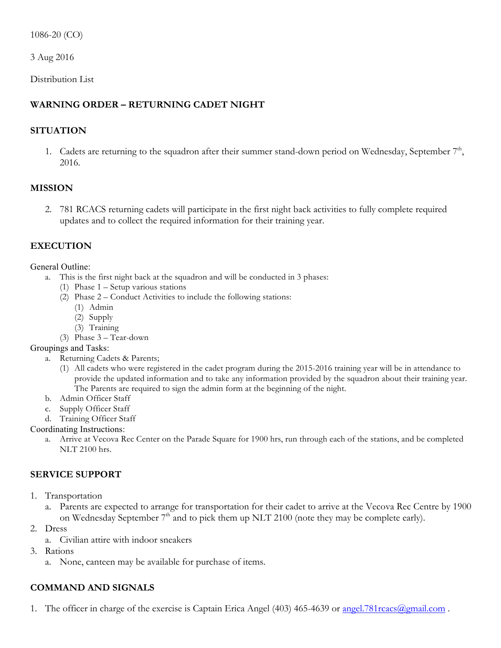1086-20 (CO)

3 Aug 2016

Distribution List

# **WARNING ORDER – RETURNING CADET NIGHT**

## **SITUATION**

1. Cadets are returning to the squadron after their summer stand-down period on Wednesday, September  $7<sup>th</sup>$ , 2016.

### **MISSION**

2. 781 RCACS returning cadets will participate in the first night back activities to fully complete required updates and to collect the required information for their training year.

## **EXECUTION**

#### General Outline:

- a. This is the first night back at the squadron and will be conducted in 3 phases:
	- (1) Phase 1 Setup various stations
	- (2) Phase 2 Conduct Activities to include the following stations:
		- (1) Admin
		- (2) Supply
		- (3) Training
	- (3) Phase 3 Tear-down

### Groupings and Tasks:

- a. Returning Cadets & Parents;
	- (1) All cadets who were registered in the cadet program during the 2015-2016 training year will be in attendance to provide the updated information and to take any information provided by the squadron about their training year. The Parents are required to sign the admin form at the beginning of the night.
- b. Admin Officer Staff
- c. Supply Officer Staff
- d. Training Officer Staff

### Coordinating Instructions:

a. Arrive at Vecova Rec Center on the Parade Square for 1900 hrs, run through each of the stations, and be completed NLT 2100 hrs.

# **SERVICE SUPPORT**

- 1. Transportation
	- a. Parents are expected to arrange for transportation for their cadet to arrive at the Vecova Rec Centre by 1900 on Wednesday September  $7<sup>th</sup>$  and to pick them up NLT 2100 (note they may be complete early).
- 2. Dress
	- a. Civilian attire with indoor sneakers
- 3. Rations
	- a. None, canteen may be available for purchase of items.

# **COMMAND AND SIGNALS**

1. The officer in charge of the exercise is Captain Erica Angel (403) 465-4639 or <u>angel.781rcacs@gmail.com</u>.